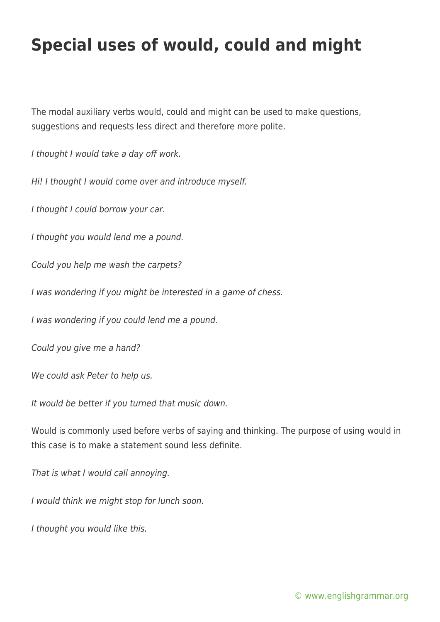## **Special uses of would, could and might**

The modal auxiliary verbs would, could and might can be used to make questions, suggestions and requests less direct and therefore more polite.

I thought I would take a day off work.

Hi! I thought I would come over and introduce myself.

I thought I could borrow your car.

I thought you would lend me a pound.

Could you help me wash the carpets?

I was wondering if you might be interested in a game of chess.

I was wondering if you could lend me a pound.

Could you give me a hand?

We could ask Peter to help us.

It would be better if you turned that music down.

Would is commonly used before verbs of saying and thinking. The purpose of using would in this case is to make a statement sound less definite.

That is what I would call annoying.

I would think we might stop for lunch soon.

I thought you would like this.